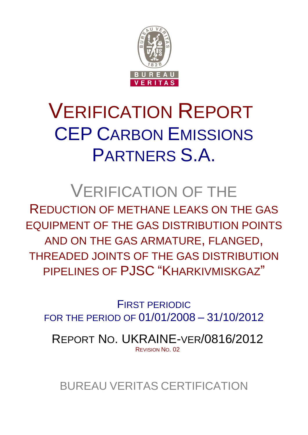

# VERIFICATION REPORT CEP CARBON EMISSIONS PARTNERS S.A.

## VERIFICATION OF THE

REDUCTION OF METHANE LEAKS ON THE GAS EQUIPMENT OF THE GAS DISTRIBUTION POINTS AND ON THE GAS ARMATURE, FLANGED, THREADED JOINTS OF THE GAS DISTRIBUTION PIPELINES OF PJSC "KHARKIVMISKGAZ"

FIRST PERIODIC FOR THE PERIOD OF 01/01/2008 – 31/10/2012

REPORT NO. UKRAINE-VER/0816/2012 REVISION NO. 02

BUREAU VERITAS CERTIFICATION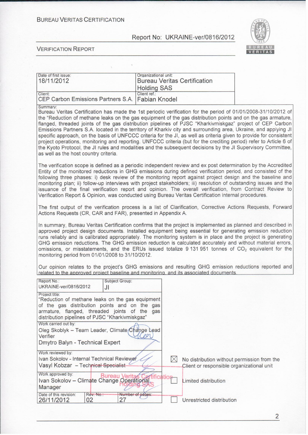**BUREAU VERITAS CERTIFICATION** 

#### Report No: UKRAINE-ver/0816/2012



#### **VERIFICATION REPORT**

| Date of first issue:<br>18/11/2012                          | Organizational unit:<br><b>Bureau Veritas Certification</b> |  |
|-------------------------------------------------------------|-------------------------------------------------------------|--|
|                                                             | <b>Holding SAS</b>                                          |  |
| Client:<br>CEP Carbon Emissions Partners S.A. Fabian Knodel | Client ref.:                                                |  |

Summary

Bureau Veritas Certification has made the 1st periodic verification for the period of 01/01/2008-31/10/2012 of the "Reduction of methane leaks on the gas equipment of the gas distribution points and on the gas armature. flanged, threaded joints of the gas distribution pipelines of PJSC "Kharkivmiskgaz" project of CEP Carbon Emissions Partners S.A. located in the territory of Kharkiv city and surrounding area, Ukraine, and applying JI specific approach, on the basis of UNFCCC criteria for the JI, as well as criteria given to provide for consistent project operations, monitoring and reporting. UNFCCC criteria (but for the crediting period) refer to Article 6 of the Kyoto Protocol, the JI rules and modalities and the subsequent decisions by the JI Supervisory Committee, as well as the host country criteria.

The verification scope is defined as a periodic independent review and ex post determination by the Accredited Entity of the monitored reductions in GHG emissions during defined verification period, and consisted of the following three phases: i) desk review of the monitoring report against project design and the baseline and monitoring plan; ii) follow-up interviews with project stakeholders; iii) resolution of outstanding issues and the issuance of the final verification report and opinion. The overall verification, from Contract Review to Verification Report & Opinion, was conducted using Bureau Veritas Certification internal procedures.

The first output of the verification process is a list of Clarification, Corrective Actions Requests, Forward Actions Requests (CR, CAR and FAR), presented in Appendix A.

In summary, Bureau Veritas Certification confirms that the project is implemented as planned and described in approved project design documents. Installed equipment being essential for generating emission reduction runs reliably and is calibrated appropriately. The monitoring system is in place and the project is generating GHG emission reductions. The GHG emission reduction is calculated accurately and without material errors, omissions, or misstatements, and the ERUs issued totalize 9 131 951 tonnes of  $CO<sub>2</sub>$  equivalent for the monitoring period from 01/01/2008 to 31/10/2012.

Our opinion relates to the project's GHG emissions and resulting GHG emission reductions reported and related to the approved project baseline and monitoring, and its associated documents.

| Report No.:<br>Subject Group:<br>UKRAINE-ver/0816/2012<br>JI                                                                                                                                                               |           |                        |  |                                                                                          |
|----------------------------------------------------------------------------------------------------------------------------------------------------------------------------------------------------------------------------|-----------|------------------------|--|------------------------------------------------------------------------------------------|
| Project title:<br>"Reduction of methane leaks on the gas equipment<br>of the gas distribution points and on the gas<br>armature, flanged, threaded joints of the<br>qas<br>distribution pipelines of PJSC "Kharkivmiskgaz" |           |                        |  |                                                                                          |
| Work carried out by:<br>Oleg Skoblyk - Team Leader, Climate/Change Lead<br>Verifier<br>Dmytro Balyn - Technical Expert                                                                                                     |           |                        |  |                                                                                          |
| Work reviewed by:<br>Ivan Sokolov - Internal Technical Reviewer<br>Vasyl Kobzar - Technical Specialist                                                                                                                     |           |                        |  | No distribution without permission from the<br>Client or responsible organizational unit |
| Work approved by:<br>Ivan Sokolov - Climate Change Operational<br>Manager                                                                                                                                                  |           | Bureau Veritas         |  | Limited distribution                                                                     |
| Date of this revision:<br>02<br>26/11/2012                                                                                                                                                                                 | Rev. No.: | Number of pages:<br>27 |  | Unrestricted distribution                                                                |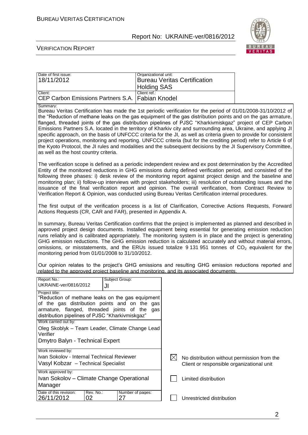

#### VERIFICATION REPORT

| Date of first issue:                               | Organizational unit:         |
|----------------------------------------------------|------------------------------|
| 18/11/2012                                         | Bureau Veritas Certification |
|                                                    | <b>Holding SAS</b>           |
| Client:                                            | Client ref.:                 |
| CEP Carbon Emissions Partners S.A.   Fabian Knodel |                              |

Summary:

Bureau Veritas Certification has made the 1st periodic verification for the period of 01/01/2008-31/10/2012 of the "Reduction of methane leaks on the gas equipment of the gas distribution points and on the gas armature, flanged, threaded joints of the gas distribution pipelines of PJSC "Kharkivmiskgaz" project of CEP Carbon Emissions Partners S.A. located in the territory of Kharkiv city and surrounding area, Ukraine, and applying JI specific approach, on the basis of UNFCCC criteria for the JI, as well as criteria given to provide for consistent project operations, monitoring and reporting. UNFCCC criteria (but for the crediting period) refer to Article 6 of the Kyoto Protocol, the JI rules and modalities and the subsequent decisions by the JI Supervisory Committee, as well as the host country criteria.

The verification scope is defined as a periodic independent review and ex post determination by the Accredited Entity of the monitored reductions in GHG emissions during defined verification period, and consisted of the following three phases: i) desk review of the monitoring report against project design and the baseline and monitoring plan; ii) follow-up interviews with project stakeholders; iii) resolution of outstanding issues and the issuance of the final verification report and opinion. The overall verification, from Contract Review to Verification Report & Opinion, was conducted using Bureau Veritas Certification internal procedures.

The first output of the verification process is a list of Clarification, Corrective Actions Requests, Forward Actions Requests (CR, CAR and FAR), presented in Appendix A.

In summary, Bureau Veritas Certification confirms that the project is implemented as planned and described in approved project design documents. Installed equipment being essential for generating emission reduction runs reliably and is calibrated appropriately. The monitoring system is in place and the project is generating GHG emission reductions. The GHG emission reduction is calculated accurately and without material errors, omissions, or misstatements, and the ERUs issued totalize  $9131951$  tonnes of  $CO<sub>2</sub>$  equivalent for the monitoring period from 01/01/2008 to 31/10/2012.

Our opinion relates to the project's GHG emissions and resulting GHG emission reductions reported and related to the approved project baseline and monitoring, and its associated documents.

| Report No.:                                                                                  | Subject Group: |     |                                             |
|----------------------------------------------------------------------------------------------|----------------|-----|---------------------------------------------|
| UKRAINE-ver/0816/2012                                                                        | JI             |     |                                             |
| Project title:<br>"Reduction of methane leaks on the gas equipment                           |                |     |                                             |
|                                                                                              |                |     |                                             |
| of the gas distribution points and on the                                                    |                | qas |                                             |
| armature, flanged, threaded joints of the<br>distribution pipelines of PJSC "Kharkivmiskgaz" |                | qas |                                             |
| Work carried out by:                                                                         |                |     |                                             |
| Oleg Skoblyk – Team Leader, Climate Change Lead                                              |                |     |                                             |
| Verifier                                                                                     |                |     |                                             |
| Dmytro Balyn - Technical Expert                                                              |                |     |                                             |
|                                                                                              |                |     |                                             |
| Work reviewed by:                                                                            |                |     |                                             |
| Ivan Sokolov - Internal Technical Reviewer                                                   |                |     | No distribution without permission from the |
| Vasyl Kobzar - Technical Specialist                                                          |                |     | Client or responsible organizational unit   |
| Work approved by:                                                                            |                |     |                                             |
| Ivan Sokolov – Climate Change Operational                                                    |                |     | Limited distribution                        |
| Manager                                                                                      |                |     |                                             |
| Date of this revision:<br>Rev. No.:<br>Number of pages:                                      |                |     |                                             |
| 26/11/2012<br>02                                                                             | 27             |     | Unrestricted distribution                   |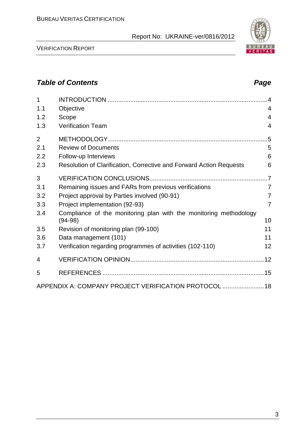VERIFICATION REPORT

3

### *Table of Contents Page*

| 1              |                                                                                | $\overline{\mathcal{A}}$ |
|----------------|--------------------------------------------------------------------------------|--------------------------|
| 1.1            | Objective                                                                      | 4                        |
| 1.2            | Scope                                                                          | $\overline{4}$           |
| 1.3            | <b>Verification Team</b>                                                       | 4                        |
| $\overline{2}$ |                                                                                |                          |
| 2.1            | <b>Review of Documents</b>                                                     | 5                        |
| 2.2            | Follow-up Interviews                                                           | 6                        |
| 2.3            | Resolution of Clarification, Corrective and Forward Action Requests            | 6                        |
| 3              |                                                                                | $\overline{.7}$          |
| 3.1            | Remaining issues and FARs from previous verifications                          | $\overline{7}$           |
| 3.2            | Project approval by Parties involved (90-91)                                   | $\overline{7}$           |
| 3.3            | Project implementation (92-93)                                                 | $\overline{7}$           |
| 3.4            | Compliance of the monitoring plan with the monitoring methodology<br>$(94-98)$ | 10                       |
| 3.5            | Revision of monitoring plan (99-100)                                           | 11                       |
| 3.6            | Data management (101)                                                          | 11                       |
| 3.7            | Verification regarding programmes of activities (102-110)                      | 12                       |
|                |                                                                                |                          |
| 4              |                                                                                |                          |
| 5              |                                                                                |                          |
|                | APPENDIX A: COMPANY PROJECT VERIFICATION PROTOCOL  18                          |                          |

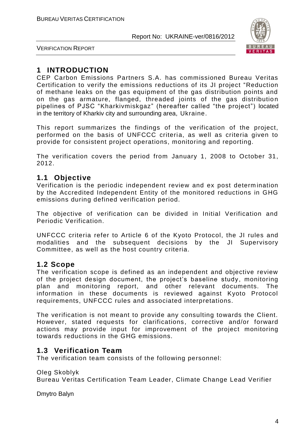

VERIFICATION REPORT

### **1 INTRODUCTION**

CEP Carbon Emissions Partners S.A. has commissioned Bureau Veritas Certification to verify the emissions reductions of its JI project "Reduction of methane leaks on the gas equipment of the gas distribution points and on the gas armature, flanged, threaded joints of the gas distribution pipelines of PJSC "Kharkivmiskgaz" (hereafter called "the project") located in the territory of Kharkiv city and surrounding area, Ukraine.

This report summarizes the findings of the verification of the project, performed on the basis of UNFCCC criteria, as well as criteria given to provide for consistent project operations, monitoring and reporting.

The verification covers the period from January 1, 2008 to October 31, 2012.

#### **1.1 Objective**

Verification is the periodic independent review and ex post determ ination by the Accredited Independent Entity of the monitored reductions in GHG emissions during defined verification period.

The objective of verification can be divided in Initial Verification and Periodic Verification.

UNFCCC criteria refer to Article 6 of the Kyoto Protocol, the JI rules and modalities and the subsequent decisions by the JI Supervisory Committee, as well as the host country criteria.

#### **1.2 Scope**

The verification scope is defined as an independent and objective review of the project design document, the project's baseline study, monitoring plan and monitoring report, and other relevant documents. The information in these documents is reviewed against Kyoto Protocol requirements, UNFCCC rules and associated interpretations.

The verification is not meant to provide any consulting towards the Client. However, stated requests for clarifications, corrective and/or forward actions may provide input for improvement of the project monitoring towards reductions in the GHG emissions.

#### **1.3 Verification Team**

The verification team consists of the following personnel:

Oleg Skoblyk Bureau Veritas Certification Team Leader, Climate Change Lead Verifier

Dmytro Balyn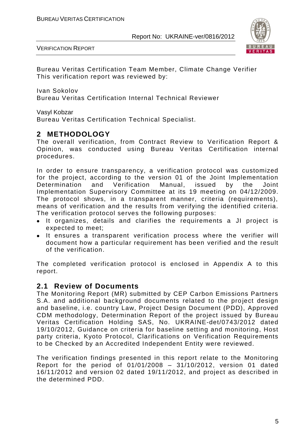



Bureau Veritas Certification Team Member, Climate Change Verifier This verification report was reviewed by:

Ivan Sokolov Bureau Veritas Certification Internal Technical Reviewer

Vasyl Kobzar

Bureau Veritas Certification Technical Specialist.

#### **2 METHODOLOGY**

The overall verification, from Contract Review to Verification Report & Opinion, was conducted using Bureau Veritas Certification internal procedures.

In order to ensure transparency, a verification protocol was customized for the project, according to the version 01 of the Joint Implementation Determination and Verification Manual, issued by the Joint Implementation Supervisory Committee at its 19 meeting on 04/12/2009. The protocol shows, in a transparent manner, criteria (requirements), means of verification and the results from verifying the identified criteria. The verification protocol serves the following purposes:

- It organizes, details and clarifies the requirements a JI project is expected to meet;
- It ensures a transparent verification process where the verifier will document how a particular requirement has been verified and the result of the verification.

The completed verification protocol is enclosed in Appendix A to this report.

#### **2.1 Review of Documents**

The Monitoring Report (MR) submitted by CEP Carbon Emissions Partners S.A. and additional background documents related to the project design and baseline, i.e. country Law, Project Design Document (PDD), Approved CDM methodology, Determination Report of the project issued by Bureau Veritas Certification Holding SAS, No. UKRAINE-det/0743/2012 dated 19/10/2012, Guidance on criteria for baseline setting and monitoring, Host party criteria, Kyoto Protocol, Clarifications on Verification Requirements to be Checked by an Accredited Independent Entity were reviewed.

The verification findings presented in this report relate to the Monitoring Report for the period of 01/01/2008 – 31/10/2012, version 01 dated 16/11/2012 and version 02 dated 19/11/2012, and project as described in the determined PDD.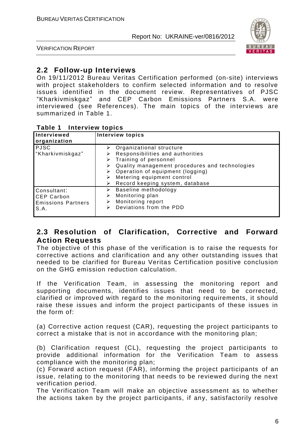

VERIFICATION REPORT

#### **2.2 Follow-up Interviews**

On 19/11/2012 Bureau Veritas Certification performed (on-site) interviews with project stakeholders to confirm selected information and to resolve issues identified in the document review. Representatives of PJSC "Kharkivmiskgaz" and CEP Carbon Emissions Partners S.A. were interviewed (see References). The main topics of the interviews are summarized in Table 1.

|  | Table 1 |  | <b>Interview topics</b> |  |
|--|---------|--|-------------------------|--|
|--|---------|--|-------------------------|--|

| Interviewed<br>organization                                    | <b>Interview topics</b>                                                                                                                                                                                                                                                                  |
|----------------------------------------------------------------|------------------------------------------------------------------------------------------------------------------------------------------------------------------------------------------------------------------------------------------------------------------------------------------|
| <b>PJSC</b><br>"Kharkivmiskgaz"                                | $\triangleright$ Organizational structure<br>Responsibilities and authorities<br>$\triangleright$ Training of personnel<br>Quality management procedures and technologies<br>➤<br>Operation of equipment (logging)<br>Metering equipment control<br>Record keeping system, database<br>⋗ |
| Consultant:<br>CEP Carbon<br><b>Emissions Partners</b><br>S.A. | Baseline methodology<br>➤<br>Monitoring plan<br>➤<br>Monitoring report<br>⋗<br>Deviations from the PDD<br>⋗                                                                                                                                                                              |

#### **2.3 Resolution of Clarification, Corrective and Forward Action Requests**

The objective of this phase of the verification is to raise the requests for corrective actions and clarification and any other outstanding issues that needed to be clarified for Bureau Veritas Certification positive conclusion on the GHG emission reduction calculation.

If the Verification Team, in assessing the monitoring report and supporting documents, identifies issues that need to be corrected, clarified or improved with regard to the monitoring requirements, it should raise these issues and inform the project participants of these issues in the form of:

(a) Corrective action request (CAR), requesting the project participants to correct a mistake that is not in accordance with the monitoring plan;

(b) Clarification request (CL), requesting the project participants to provide additional information for the Verification Team to assess compliance with the monitoring plan;

(c) Forward action request (FAR), informing the project participants of an issue, relating to the monitoring that needs to be reviewed during the next verification period.

The Verification Team will make an objective assessment as to whether the actions taken by the project participants, if any, satisfactorily resolve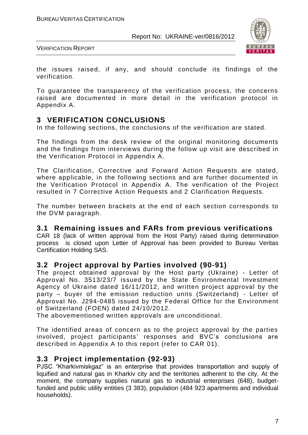

VERIFICATION REPORT

the issues raised, if any, and should conclude its findings of the verification.

To guarantee the transparency of the verification process, the concerns raised are documented in more detail in the verification protocol in Appendix A.

#### **3 VERIFICATION CONCLUSIONS**

In the following sections, the conclusions of the verification are stated.

The findings from the desk review of the original monitoring documents and the findings from interviews during the follow up visit are described in the Verification Protocol in Appendix A.

The Clarification, Corrective and Forward Action Requests are stated, where applicable, in the following sections and are further documented in the Verification Protocol in Appendix A. The verification of the Project resulted in 7 Corrective Action Requests and 2 Clarification Requests.

The number between brackets at the end of each section corresponds to the DVM paragraph.

#### **3.1 Remaining issues and FARs from previous verifications**

CAR 18 (lack of written approval from the Host Party) raised during determination process is closed upon Letter of Approval has been provided to Bureau Veritas Certification Holding SAS.

#### **3.2 Project approval by Parties involved (90-91)**

The project obtained approval by the Host party (Ukraine) - Letter of Approval No. 3513/23/7 issued by the State Environmental Investment Agency of Ukraine dated 16/11/2012, and written project approval by the party – buyer of the emission reduction units (Switzerland) - Letter of Approval No. J294-0485 issued by the Federal Office for the Environment of Switzerland (FOEN) dated 24/10/2012.

The abovementioned written approvals are unconditional.

The identified areas of concern as to the project approval by the parties involved, project participants' responses and BVC's conclusions are described in Appendix A to this report (refer to CAR 01).

#### **3.3 Project implementation (92-93)**

PJSC "Kharkivmiskgaz" is an enterprise that provides transportation and supply of liquified and natural gas in Kharkiv city and the territories adherent to the city. At the moment, the company supplies natural gas to industrial enterprises (648), budgetfunded and public utility entities (3 383), population (484 923 apartments and individual households).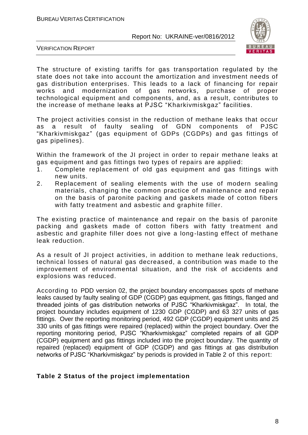

VERIFICATION REPORT

The structure of existing tariffs for gas transportation regulated by the state does not take into account the amortization and investment needs of gas distribution enterprises. This leads to a lack of financing for repair works and modernization of gas networks, purchase of proper technological equipment and components, and, as a result, contributes to the increase of methane leaks at PJSC "Kharkivmiskgaz" facilities.

The project activities consist in the reduction of methane leaks that occur as a result of faulty sealing of GDN components of PJSC "Kharkivmiskgaz" (gas equipment of GDPs (CGDPs) and gas fittings of gas pipelines).

Within the framework of the JI project in order to repair methane leaks at gas equipment and gas fittings two types of repairs are applied:

- 1. Complete replacement of old gas equipment and gas fittings with new units.
- 2. Replacement of sealing elements with the use of modern sealing materials, changing the common practice of maintenance and repair on the basis of paronite packing and gaskets made of cotton fibers with fatty treatment and asbestic and graphite filler.

The existing practice of maintenance and repair on the basis of paronite packing and gaskets made of cotton fibers with fatty treatment and asbestic and graphite filler does not give a long-lasting effect of methane leak reduction.

As a result of JI project activities, in addition to methane leak reductions, technical losses of natural gas decreased, a contribution was made to the improvement of environmental situation, and the risk of accidents and explosions was reduced.

According to PDD version 02, the project boundary encompasses spots of methane leaks caused by faulty sealing of GDP (CGDP) gas equipment, gas fittings, flanged and threaded joints of gas distribution networks of PJSC "Kharkivmiskgaz". In total, the project boundary includes equipment of 1230 GDP (CGDP) and 63 327 units of gas fittings. Over the reporting monitoring period, 492 GDP (CGDP) equipment units and 25 330 units of gas fittings were repaired (replaced) within the project boundary. Over the reporting monitoring period, PJSC "Kharkivmiskgaz" completed repairs of all GDP (CGDP) equipment and gas fittings included into the project boundary. The quantity of repaired (replaced) equipment of GDP (CGDP) and gas fittings at gas distribution networks of PJSC "Kharkivmiskgaz" by periods is provided in Table 2 of this report:

#### **Table 2 Status of the project implementation**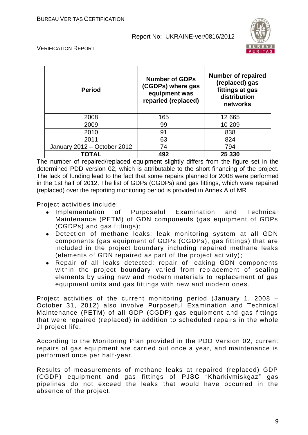

VERIFICATION REPORT

| <b>Period</b>               | <b>Number of GDPs</b><br>(CGDPs) where gas<br>equipment was<br>reparied (replaced) | <b>Number of repaired</b><br>(replaced) gas<br>fittings at gas<br>distribution<br>networks |
|-----------------------------|------------------------------------------------------------------------------------|--------------------------------------------------------------------------------------------|
| 2008                        | 165                                                                                | 12 665                                                                                     |
| 2009                        | 99                                                                                 | 10 209                                                                                     |
| 2010                        | 91                                                                                 | 838                                                                                        |
| 2011                        | 63                                                                                 | 824                                                                                        |
| January 2012 - October 2012 | 74                                                                                 | 794                                                                                        |
| TOTAL                       | 492                                                                                | 25 330                                                                                     |

The number of repaired/replaced equipment slightly differs from the figure set in the determined PDD version 02, which is attributable to the short financing of the project. The lack of funding lead to the fact that some repairs planned for 2008 were performed in the 1st half of 2012. The list of GDPs (CGDPs) and gas fittings, which were repaired (replaced) over the reporting monitoring period is provided in Annex A of MR

Project activities include:

- Implementation of Purposeful Examination and Technical Maintenance (PETM) of GDN components (gas equipment of GDPs (CGDPs) and gas fittings);
- Detection of methane leaks: leak monitoring system at all GDN components (gas equipment of GDPs (CGDPs), gas fittings) that are included in the project boundary including repaired methane leaks (elements of GDN repaired as part of the project activity);
- Repair of all leaks detected: repair of leaking GDN components within the project boundary varied from replacement of sealing elements by using new and modern materials to replacement of gas equipment units and gas fittings with new and modern ones .

Project activities of the current monitoring period (January 1, 2008 – October 31, 2012) also involve Purposeful Examination and Technical Maintenance (PETM) of all GDP (CGDP) gas equipment and gas fittings that were repaired (replaced) in addition to scheduled repairs in the whole JI project life.

According to the Monitoring Plan provided in the PDD Version 02, current repairs of gas equipment are carried out once a year, and maintenance is performed once per half-year.

Results of measurements of methane leaks at repaired (replaced) GDP (CGDP) equipment and gas fittings of PJSC "Kharkivmiskgaz" gas pipelines do not exceed the leaks that would have occurred in the absence of the project.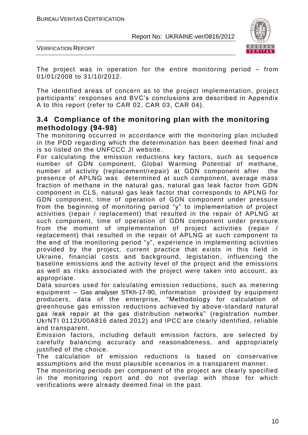

VERIFICATION REPORT

The project was in operation for the entire monitoring period – from 01/01/2008 to 31/10/2012.

The identified areas of concern as to the project implementation, project participants' responses and BVC's conclusions are described in Appendix A to this report (refer to CAR 02, CAR 03, CAR 04).

#### **3.4 Compliance of the monitoring plan with the monitoring methodology (94-98)**

The monitoring occurred in accordance with the monitoring plan included in the PDD regarding which the determination has been deemed final and is so listed on the UNFCCC JI website.

For calculating the emission reductions key factors, such as sequence number of GDN component, Global Warming Potential of methane, number of activity (replacement/repair) at GDN component after the presence of APLNG was determined at such component, average mass fraction of methane in the natural gas, natural gas leak factor from GDN component in CLS, natural gas leak factor that corresponds to APLNG for GDN component, time of operation of GDN component under pressure from the beginning of monitoring period "y" to implementation of project activities (repair / replacement) that resulted in the repair of APLNG at such component, time of operation of GDN component under pressure from the moment of implementation of project activities (repair / replacement) that resulted in the repair of APLNG at such component to the end of the monitoring period "y", experience in implementing activities provided by the project, current practice that exists in this field in Ukraine, financial costs and background, legislation, influencing the baseline emissions and the activity level of the project and the emissions as well as risks associated with the project were taken into account, as appropriate.

Data sources used for calculating emission reductions, such as metering equipment – Gas analyser STKh-17-90, information provided by equipment producers, data of the enterprise, "Methodology for calculation of greenhouse gas emission reductions achieved by above-standard natural gas leak repair at the gas distribution networks" (registration number UkrNTI 0112U00A816 dated 2012) and IPCC are clearly identified, reliable and transparent.

Emission factors, including default emission factors, are selected by carefully balancing accuracy and reasonableness, and appropriately justified of the choice.

The calculation of emission reductions is based on conservative assumptions and the most plausible scenarios in a transparent manner.

The monitoring periods per component of the project are clearly specified in the monitoring report and do not overlap with those for which verifications were already deemed final in the past.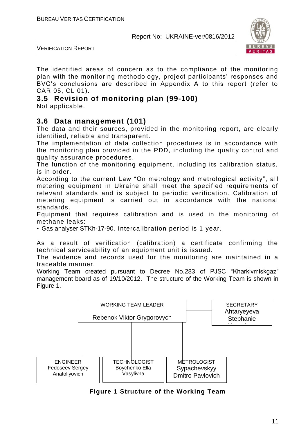



The identified areas of concern as to the compliance of the monitoring plan with the monitoring methodology, project participants' responses and BVC's conclusions are described in Appendix A to this report (refer to CAR 05, CL 01).

#### **3.5 Revision of monitoring plan (99-100)** Not applicable.

#### **3.6 Data management (101)**

The data and their sources, provided in the monitoring report, are clearly identified, reliable and transparent.

The implementation of data collection procedures is in accordance with the monitoring plan provided in the PDD, including the quality control and quality assurance procedures.

The function of the monitoring equipment, including its calibration status, is in order.

According to the current Law "On metrology and metrological activity", all metering equipment in Ukraine shall meet the specified requirements of relevant standards and is subject to periodic verification. Calibration of metering equipment is carried out in accordance with the national standards.

Equipment that requires calibration and is used in the monitoring of methane leaks:

• Gas analyser STKh-17-90. Intercalibration period is 1 year.

As a result of verification (calibration) a certificate confirming the technical serviceability of an equipment unit is issued.

The evidence and records used for the monitoring are maintained in a traceable manner.

Working Team created pursuant to Decree No.283 of PJSC "Kharkivmiskgaz" management board as of 19/10/2012. The structure of the Working Team is shown in Figure 1.



**Figure 1 Structure of the Working Team**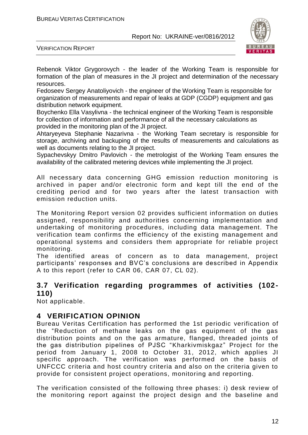

VERIFICATION REPORT

Rebenok Viktor Grygorovych - the leader of the Working Team is responsible for formation of the plan of measures in the JI project and determination of the necessary resources.

Fedoseev Sergey Anatoliyovich - the engineer of the Working Team is responsible for organization of measurements and repair of leaks at GDP (CGDP) equipment and gas distribution network equipment.

Boychenko Ella Vasylivna - the technical engineer of the Working Team is responsible for collection of information and performance of all the necessary calculations as provided in the monitoring plan of the JI project.

Ahtaryeyeva Stephanie Nazarivna - the Working Team secretary is responsible for storage, archiving and backuping of the results of measurements and calculations as well as documents relating to the JI project.

Sypachevskyy Dmitro Pavlovich - the metrologist of the Working Team ensures the availability of the calibrated metering devices while implementing the JI project.

All necessary data concerning GHG emission reduction monitoring is archived in paper and/or electronic form and kept till the end of the crediting period and for two years after the latest transaction with emission reduction units.

The Monitoring Report version 02 provides sufficient information on duties assigned, responsibility and authorities concerning implementation and undertaking of monitoring procedures, including data management. The verification team confirms the efficiency of the existing management and operational systems and considers them appropriate for reliable project monitoring.

The identified areas of concern as to data management, project participants' responses and BVC's conclusions are described in Appendix A to this report (refer to CAR 06, CAR 07, CL 02).

#### **3.7 Verification regarding programmes of activities (102- 110)**

Not applicable.

#### **4 VERIFICATION OPINION**

Bureau Veritas Certification has performed the 1st periodic verification of the "Reduction of methane leaks on the gas equipment of the gas distribution points and on the gas armature, flanged, threaded joints of the gas distribution pipelines of PJSC "Kharkivmiskgaz" Project for the period from January 1, 2008 to October 31, 2012, which applies JI specific approach. The verification was performed on the basis of UNFCCC criteria and host country criteria and also on the criteria given to provide for consistent project operations, monitoring and reporting.

The verification consisted of the following three phases: i) desk review of the monitoring report against the project design and the baseline and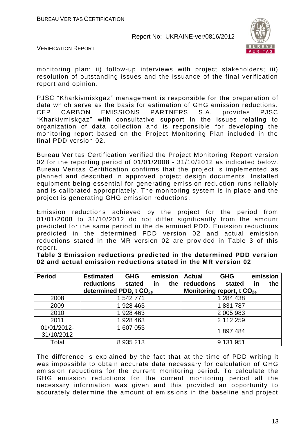

VERIFICATION REPORT

monitoring plan; ii) follow-up interviews with project stakeholders; iii) resolution of outstanding issues and the issuance of the final verification report and opinion.

PJSC "Kharkivmiskgaz" management is responsible for the preparation of data which serve as the basis for estimation of GHG emission reductions. CEP CARBON EMISSIONS PARTNERS S.A. provides PJSC "Kharkivmiskgaz" with consultative support in the issues relating to organization of data collection and is responsible for developing the monitoring report based on the Project Monitoring Plan included in the final PDD version 02.

Bureau Veritas Certification verified the Project Monitoring Report version 02 for the reporting period of 01/01/2008 - 31/10/2012 as indicated below. Bureau Veritas Certification confirms that the project is implemented as planned and described in approved project design documents. Installed equipment being essential for generating emission reduction runs reliably and is calibrated appropriately. The monitoring system is in place and the project is generating GHG emission reductions.

Emission reductions achieved by the project for the period from 01/01/2008 to 31/10/2012 do not differ significantly from the amount predicted for the same period in the determined PDD. Emission reductions predicted in the determined PDD version 02 and actual emission reductions stated in the MR version 02 are provided in Table 3 of this report.

| <b>Period</b> | <b>Estimated</b>                   | <b>GHG</b>    |    | emission | <b>Actual</b>                         | <b>GHG</b> | emission  |     |
|---------------|------------------------------------|---------------|----|----------|---------------------------------------|------------|-----------|-----|
|               | reductions                         | stated        | in | the      | reductions stated                     |            | <u>in</u> | the |
|               | determined PDD, t CO <sub>2e</sub> |               |    |          | Monitoring report, t CO <sub>2e</sub> |            |           |     |
| 2008          |                                    | 1 542 771     |    |          |                                       | 1 284 438  |           |     |
| 2009          |                                    | 1 928 463     |    |          |                                       | 1831787    |           |     |
| 2010          |                                    | 1 928 463     |    |          |                                       | 2 005 983  |           |     |
| 2011          |                                    | 1 928 463     |    |          |                                       | 2 112 259  |           |     |
| 01/01/2012-   |                                    | 1 607 053     |    |          |                                       | 1897484    |           |     |
| 31/10/2012    |                                    |               |    |          |                                       |            |           |     |
| Total         |                                    | 8 9 3 5 2 1 3 |    |          |                                       | 9 131 951  |           |     |

**Table 3 Emission reductions predicted in the determined PDD version 02 and actual emission reductions stated in the MR version 02**

The difference is explained by the fact that at the time of PDD writing it was impossible to obtain accurate data necessary for calculation of GHG emission reductions for the current monitoring period. To calculate the GHG emission reductions for the current monitoring period all the necessary information was given and this provided an opportunity to accurately determine the amount of emissions in the baseline and project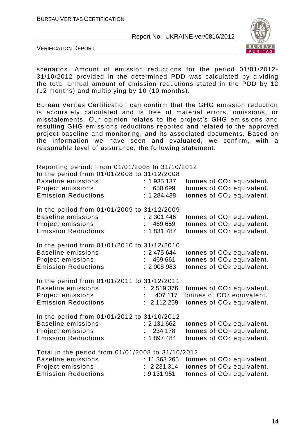

VERIFICATION REPORT

scenarios. Amount of emission reductions for the period 01/01/2012- 31/10/2012 provided in the determined PDD was calculated by dividing the total annual amount of emission reductions stated in the PDD by 12 (12 months) and multiplying by 10 (10 months).

Bureau Veritas Certification can confirm that the GHG emission reduction is accurately calculated and is free of material errors, omissions, or misstatements. Our opinion relates to the project's GHG emissions and resulting GHG emissions reductions reported and related to the approved project baseline and monitoring, and its associated documents. Based on the information we have seen and evaluated, we confirm, with a reasonable level of assurance, the following statement:

#### Reporting period: From 01/01/2008 to 31/10/2012

| In the period from 01/01/2008 to 31/12/2008<br><b>Baseline emissions</b><br>Project emissions<br><b>Emission Reductions</b>       | : 1935137<br>650 699<br>: 1284438          | tonnes of CO <sub>2</sub> equivalent.<br>tonnes of CO <sub>2</sub> equivalent.<br>tonnes of CO <sub>2</sub> equivalent. |
|-----------------------------------------------------------------------------------------------------------------------------------|--------------------------------------------|-------------------------------------------------------------------------------------------------------------------------|
| In the period from 01/01/2009 to 31/12/2009<br><b>Baseline emissions</b><br>Project emissions<br><b>Emission Reductions</b>       | : 2301446<br>469 659<br>: 1 831 787        | tonnes of CO <sub>2</sub> equivalent.<br>tonnes of CO <sub>2</sub> equivalent.<br>tonnes of CO <sub>2</sub> equivalent. |
| In the period from 01/01/2010 to 31/12/2010<br><b>Baseline emissions</b><br>Project emissions<br><b>Emission Reductions</b>       | : 2475644<br>469 661<br>: 2005983          | tonnes of CO <sub>2</sub> equivalent.<br>tonnes of CO <sub>2</sub> equivalent.<br>tonnes of CO <sub>2</sub> equivalent. |
| In the period from 01/01/2011 to 31/12/2011<br><b>Baseline emissions</b><br>Project emissions<br><b>Emission Reductions</b>       | : 2519376<br>407 117<br>: 2112259          | tonnes of CO <sub>2</sub> equivalent.<br>tonnes of CO <sub>2</sub> equivalent.<br>tonnes of CO <sub>2</sub> equivalent. |
| In the period from 01/01/2012 to 31/10/2012<br><b>Baseline emissions</b><br>Project emissions<br><b>Emission Reductions</b>       | : 2 131 662<br>234 178<br>: 1897484        | tonnes of CO <sub>2</sub> equivalent.<br>tonnes of CO <sub>2</sub> equivalent.<br>tonnes of CO <sub>2</sub> equivalent. |
| Total in the period from 01/01/2008 to 31/10/2012<br><b>Baseline emissions</b><br>Project emissions<br><b>Emission Reductions</b> | : 11 363 265<br>: 2231314<br>$: 9$ 131 951 | tonnes of CO <sub>2</sub> equivalent.<br>tonnes of CO <sub>2</sub> equivalent.<br>tonnes of CO <sub>2</sub> equivalent. |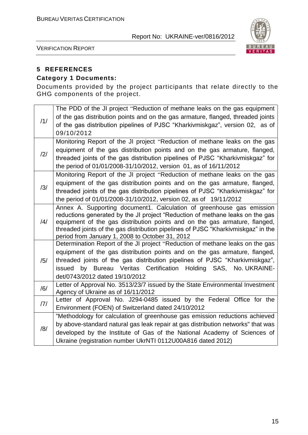

VERIFICATION REPORT

#### **5 REFERENCES**

#### **Category 1 Documents:**

Documents provided by the project participants that relate directly to the GHG components of the project.

|                | The PDD of the JI project "Reduction of methane leaks on the gas equipment<br>of the gas distribution points and on the gas armature, flanged, threaded joints |
|----------------|----------------------------------------------------------------------------------------------------------------------------------------------------------------|
| /1/            | of the gas distribution pipelines of PJSC "Kharkivmiskgaz", version 02, as of<br>09/10/2012                                                                    |
|                | Monitoring Report of the JI project "Reduction of methane leaks on the gas                                                                                     |
| /2/            | equipment of the gas distribution points and on the gas armature, flanged,                                                                                     |
|                | threaded joints of the gas distribution pipelines of PJSC "Kharkivmiskgaz" for                                                                                 |
|                | the period of 01/01/2008-31/10/2012, version 01, as of 16/11/2012                                                                                              |
|                | Monitoring Report of the JI project "Reduction of methane leaks on the gas                                                                                     |
| /3/            | equipment of the gas distribution points and on the gas armature, flanged,                                                                                     |
|                | threaded joints of the gas distribution pipelines of PJSC "Kharkivmiskgaz" for                                                                                 |
|                | the period of 01/01/2008-31/10/2012, version 02, as of 19/11/2012                                                                                              |
|                | Annex A. Supporting document1. Calculation of greenhouse gas emission<br>reductions generated by the JI project "Reduction of methane leaks on the gas         |
| $\frac{14}{1}$ | equipment of the gas distribution points and on the gas armature, flanged,                                                                                     |
|                | threaded joints of the gas distribution pipelines of PJSC "Kharkivmiskgaz" in the                                                                              |
|                | period from January 1, 2008 to October 31, 2012                                                                                                                |
|                | Determination Report of the JI project "Reduction of methane leaks on the gas                                                                                  |
|                | equipment of the gas distribution points and on the gas armature, flanged,                                                                                     |
| /5/            | threaded joints of the gas distribution pipelines of PJSC "Kharkivmiskgaz",                                                                                    |
|                | issued by Bureau Veritas Certification Holding SAS, No. UKRAINE-                                                                                               |
|                | det/0743/2012 dated 19/10/2012                                                                                                                                 |
| /6/            | Letter of Approval No. 3513/23/7 issued by the State Environmental Investment<br>Agency of Ukraine as of 16/11/2012                                            |
|                | Letter of Approval No. J294-0485 issued by the Federal Office for the                                                                                          |
| 7              | Environment (FOEN) of Switzerland dated 24/10/2012                                                                                                             |
|                | "Methodology for calculation of greenhouse gas emission reductions achieved                                                                                    |
|                | by above-standard natural gas leak repair at gas distribution networks" that was                                                                               |
| /8/            | developed by the Institute of Gas of the National Academy of Sciences of                                                                                       |
|                | Ukraine (registration number UkrNTI 0112U00A816 dated 2012)                                                                                                    |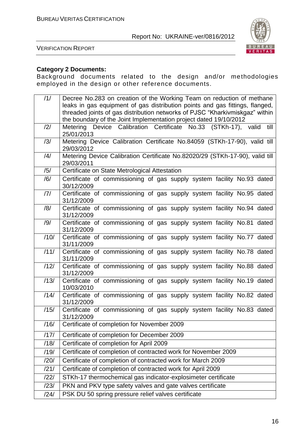

VERIFICATION REPORT

#### **Category 2 Documents:**

Background documents related to the design and/or me thodologies employed in the design or other reference documents.

| /1/  | Decree No.283 on creation of the Working Team on reduction of methane                   |
|------|-----------------------------------------------------------------------------------------|
|      | leaks in gas equipment of gas distribution points and gas fittings, flanged,            |
|      | threaded joints of gas distribution networks of PJSC "Kharkivmiskgaz" within            |
|      | the boundary of the Joint Implementation project dated 19/10/2012                       |
| /2/  | Device Calibration Certificate No.33 (STKh-17), valid<br>till<br>Metering<br>25/01/2013 |
| /3/  | Metering Device Calibration Certificate No.84059 (STKh-17-90), valid till               |
|      | 29/03/2012                                                                              |
| /4/  | Metering Device Calibration Certificate No.82020/29 (STKh-17-90), valid till            |
|      | 29/03/2011                                                                              |
| /5/  | Certificate on State Metrological Attestation                                           |
| /6/  | Certificate of commissioning of gas supply system facility No.93 dated<br>30/12/2009    |
| 7    | Certificate of commissioning of gas supply system facility No.95 dated                  |
|      | 31/12/2009                                                                              |
| /8/  | Certificate of commissioning of gas supply system facility No.94 dated<br>31/12/2009    |
| /9/  | Certificate of commissioning of gas supply system facility No.81 dated                  |
|      | 31/12/2009                                                                              |
| /10/ | Certificate of commissioning of gas supply system facility No.77 dated                  |
|      | 31/11/2009                                                                              |
| /11/ | Certificate of commissioning of gas supply system facility No.78 dated<br>31/11/2009    |
| /12/ | Certificate of commissioning of gas supply system facility No.88 dated                  |
|      | 31/12/2009                                                                              |
| /13/ | Certificate of commissioning of gas supply system facility No.19 dated<br>10/03/2010    |
| /14/ | Certificate of commissioning of gas supply system facility No.82 dated                  |
|      | 31/12/2009                                                                              |
| /15/ | Certificate of commissioning of gas supply system facility No.83 dated                  |
|      | 31/12/2009                                                                              |
| /16/ | Certificate of completion for November 2009                                             |
| /17/ | Certificate of completion for December 2009                                             |
| /18/ | Certificate of completion for April 2009                                                |
| /19/ | Certificate of completion of contracted work for November 2009                          |
| /20/ | Certificate of completion of contracted work for March 2009                             |
| /21/ | Certificate of completion of contracted work for April 2009                             |
| /22/ | STKh-17 thermochemical gas indicator-explosimeter certificate                           |
| /23/ | PKN and PKV type safety valves and gate valves certificate                              |
| /24/ | PSK DU 50 spring pressure relief valves certificate                                     |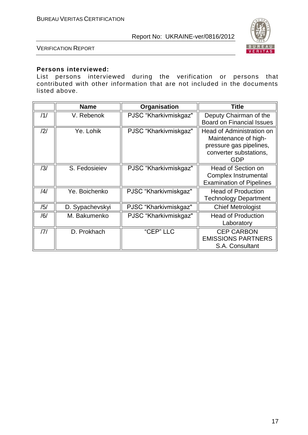

VERIFICATION REPORT

#### **Persons interviewed:**

List persons interviewed during the verification or persons that contributed with other information that are not included in the documents listed above.

|     | <b>Name</b>     | Organisation          | Title                                                                                                                |
|-----|-----------------|-----------------------|----------------------------------------------------------------------------------------------------------------------|
| /1/ | V. Rebenok      | PJSC "Kharkivmiskgaz" | Deputy Chairman of the<br><b>Board on Financial Issues</b>                                                           |
| /2/ | Ye. Lohik       | PJSC "Kharkivmiskgaz" | Head of Administration on<br>Maintenance of high-<br>pressure gas pipelines,<br>converter substations,<br><b>GDP</b> |
| /3/ | S. Fedosieiev   | PJSC "Kharkivmiskgaz" | Head of Section on<br>Complex Instrumental<br><b>Examination of Pipelines</b>                                        |
| /4/ | Ye. Boichenko   | PJSC "Kharkivmiskgaz" | <b>Head of Production</b><br><b>Technology Department</b>                                                            |
| /5/ | D. Sypachevskyi | PJSC "Kharkivmiskgaz" | <b>Chief Metrologist</b>                                                                                             |
| /6/ | M. Bakumenko    | PJSC "Kharkivmiskgaz" | <b>Head of Production</b><br>Laboratory                                                                              |
| 7   | D. Prokhach     | "CEP" LLC             | <b>CEP CARBON</b><br><b>EMISSIONS PARTNERS</b><br>S.A. Consultant                                                    |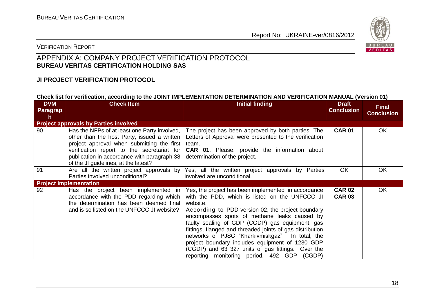

#### VERIFICATION REPORT

#### APPENDIX A: COMPANY PROJECT VERIFICATION PROTOCOL **BUREAU VERITAS CERTIFICATION HOLDING SAS**

#### **JI PROJECT VERIFICATION PROTOCOL**

#### **Check list for verification, according to the JOINT IMPLEMENTATION DETERMINATION AND VERIFICATION MANUAL (Version 01)**

| <b>DVM</b><br>Paragrap<br>h | <b>Check Item</b>                                                                                                                                                                                                                                                              | <b>Initial finding</b>                                                                                                                                                                                                                                                                                                                                                                                                                                                                                                                            | <b>Draft</b><br><b>Conclusion</b> | <b>Final</b><br><b>Conclusion</b> |
|-----------------------------|--------------------------------------------------------------------------------------------------------------------------------------------------------------------------------------------------------------------------------------------------------------------------------|---------------------------------------------------------------------------------------------------------------------------------------------------------------------------------------------------------------------------------------------------------------------------------------------------------------------------------------------------------------------------------------------------------------------------------------------------------------------------------------------------------------------------------------------------|-----------------------------------|-----------------------------------|
|                             | <b>Project approvals by Parties involved</b>                                                                                                                                                                                                                                   |                                                                                                                                                                                                                                                                                                                                                                                                                                                                                                                                                   |                                   |                                   |
| 90                          | Has the NFPs of at least one Party involved,<br>other than the host Party, issued a written<br>project approval when submitting the first<br>verification report to the secretariat for<br>publication in accordance with paragraph 38<br>of the JI guidelines, at the latest? | The project has been approved by both parties. The<br>Letters of Approval were presented to the verification<br>team.<br><b>CAR 01.</b> Please, provide the information about<br>determination of the project.                                                                                                                                                                                                                                                                                                                                    | <b>CAR 01</b>                     | OK                                |
| 91                          | Are all the written project approvals by<br>Parties involved unconditional?                                                                                                                                                                                                    | Yes, all the written project approvals by Parties<br>involved are unconditional.                                                                                                                                                                                                                                                                                                                                                                                                                                                                  | <b>OK</b>                         | OK                                |
|                             | <b>Project implementation</b>                                                                                                                                                                                                                                                  |                                                                                                                                                                                                                                                                                                                                                                                                                                                                                                                                                   |                                   |                                   |
| 92                          | Has the project been implemented in<br>accordance with the PDD regarding which<br>the determination has been deemed final<br>and is so listed on the UNFCCC JI website?                                                                                                        | Yes, the project has been implemented in accordance<br>with the PDD, which is listed on the UNFCCC JI<br>website.<br>According to PDD version 02, the project boundary<br>encompasses spots of methane leaks caused by<br>faulty sealing of GDP (CGDP) gas equipment, gas<br>fittings, flanged and threaded joints of gas distribution<br>networks of PJSC "Kharkivmiskgaz". In total, the<br>project boundary includes equipment of 1230 GDP<br>(CGDP) and 63 327 units of gas fittings. Over the<br>reporting monitoring period, 492 GDP (CGDP) | <b>CAR 02</b><br><b>CAR 03</b>    | OK                                |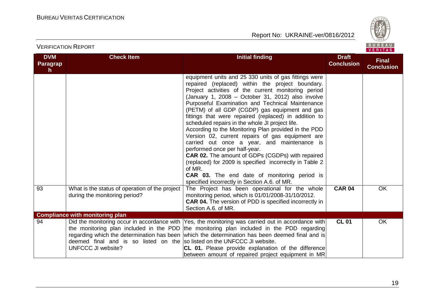VERIFICATION REPORT

Report No: UKRAINE-ver/0816/2012



| <b>DVM</b><br><b>Paragrap</b><br>h. | <b>Check Item</b>                                                                                     | <b>Initial finding</b>                                                                                                                                                                                                                                                                                                                                                                                                                                                                                                                                                                                                                                                                                                                                                                                                                                                     | <b>Draft</b><br><b>Conclusion</b> | <b>Final</b><br><b>Conclusion</b> |
|-------------------------------------|-------------------------------------------------------------------------------------------------------|----------------------------------------------------------------------------------------------------------------------------------------------------------------------------------------------------------------------------------------------------------------------------------------------------------------------------------------------------------------------------------------------------------------------------------------------------------------------------------------------------------------------------------------------------------------------------------------------------------------------------------------------------------------------------------------------------------------------------------------------------------------------------------------------------------------------------------------------------------------------------|-----------------------------------|-----------------------------------|
|                                     |                                                                                                       | equipment units and 25 330 units of gas fittings were<br>repaired (replaced) within the project boundary.<br>Project activities of the current monitoring period<br>(January 1, 2008 - October 31, 2012) also involve<br>Purposeful Examination and Technical Maintenance<br>(PETM) of all GDP (CGDP) gas equipment and gas<br>fittings that were repaired (replaced) in addition to<br>scheduled repairs in the whole JI project life.<br>According to the Monitoring Plan provided in the PDD<br>Version 02, current repairs of gas equipment are<br>carried out once a year, and maintenance is<br>performed once per half-year.<br><b>CAR 02.</b> The amount of GDPs (CGDPs) with repaired<br>(replaced) for 2009 is specified incorrectly in Table 2<br>of MR.<br><b>CAR 03.</b> The end date of monitoring period is<br>specified incorrectly in Section A.6. of MR. |                                   |                                   |
| 93                                  | What is the status of operation of the project<br>during the monitoring period?                       | The Project has been operational for the whole<br>monitoring period, which is 01/01/2008-31/10/2012.<br><b>CAR 04.</b> The version of PDD is specified incorrectly in<br>Section A.6. of MR.                                                                                                                                                                                                                                                                                                                                                                                                                                                                                                                                                                                                                                                                               | <b>CAR 04</b>                     | OK                                |
|                                     | <b>Compliance with monitoring plan</b>                                                                |                                                                                                                                                                                                                                                                                                                                                                                                                                                                                                                                                                                                                                                                                                                                                                                                                                                                            |                                   |                                   |
| 94                                  | deemed final and is so listed on the so listed on the UNFCCC JI website.<br><b>UNFCCC JI website?</b> | Did the monitoring occur in accordance with Yes, the monitoring was carried out in accordance with<br>the monitoring plan included in the PDD the monitoring plan included in the PDD regarding<br>regarding which the determination has been which the determination has been deemed final and is<br>CL 01. Please provide explanation of the difference<br>between amount of repaired project equipment in MR                                                                                                                                                                                                                                                                                                                                                                                                                                                            | <b>CL 01</b>                      | OK                                |

19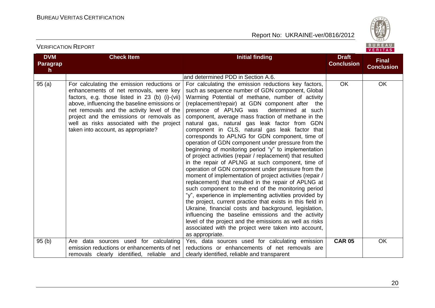

#### **DVM Paragrap h Check Item Initial finding Initial finding Draft Conclusion Final Conclusion** and determined PDD in Section A.6. 95 (a) For calculating the emission reductions or enhancements of net removals, were key factors, e.g. those listed in 23 (b) (i)-(vii) above, influencing the baseline emissions or net removals and the activity level of the project and the emissions or removals as well as risks associated with the project taken into account, as appropriate? For calculating the emission reductions key factors, such as sequence number of GDN component, Global Warming Potential of methane, number of activity (replacement/repair) at GDN component after the presence of APLNG was determined at such component, average mass fraction of methane in the natural gas, natural gas leak factor from GDN component in CLS, natural gas leak factor that corresponds to APLNG for GDN component, time of operation of GDN component under pressure from the beginning of monitoring period "y" to implementation of project activities (repair / replacement) that resulted in the repair of APLNG at such component, time of operation of GDN component under pressure from the moment of implementation of project activities (repair / replacement) that resulted in the repair of APLNG at such component to the end of the monitoring period "y", experience in implementing activities provided by the project, current practice that exists in this field in Ukraine, financial costs and background, legislation, influencing the baseline emissions and the activity level of the project and the emissions as well as risks associated with the project were taken into account, as appropriate. OK OK 95 (b) Are data sources used for calculating emission reductions or enhancements of net removals clearly identified, reliable and Yes, data sources used for calculating emission reductions or enhancements of net removals are clearly identified, reliable and transparent **CAR 05** OK

VERIFICATION REPORT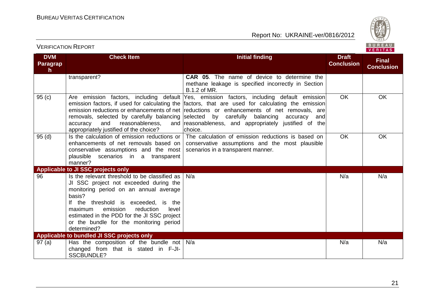

#### VERIFICATION REPORT

| <b>DVM</b><br>Paragrap<br>h. | <b>Check Item</b>                                                                                                                                                                                                                                                                                                                         | <b>Initial finding</b>                                                                                                                                                                                                                                                                                                                                                                                                                                            | <b>Draft</b><br><b>Conclusion</b> | <b>Final</b><br><b>Conclusion</b> |
|------------------------------|-------------------------------------------------------------------------------------------------------------------------------------------------------------------------------------------------------------------------------------------------------------------------------------------------------------------------------------------|-------------------------------------------------------------------------------------------------------------------------------------------------------------------------------------------------------------------------------------------------------------------------------------------------------------------------------------------------------------------------------------------------------------------------------------------------------------------|-----------------------------------|-----------------------------------|
|                              | transparent?                                                                                                                                                                                                                                                                                                                              | <b>CAR 05.</b> The name of device to determine the<br>methane leakage is specified incorrectly in Section<br>B.1.2 of MR.                                                                                                                                                                                                                                                                                                                                         |                                   |                                   |
| 95(c)                        | and<br>accuracy<br>reasonableness,<br>appropriately justified of the choice?                                                                                                                                                                                                                                                              | Are emission factors, including default Yes, emission factors, including default emission<br>emission factors, if used for calculating the  factors, that are used for calculating the emission <br>emission reductions or enhancements of net reductions or enhancements of net removals, are<br>removals, selected by carefully balancing selected by carefully balancing accuracy<br>andl<br>and reasonableness, and appropriately justified of the<br>choice. | <b>OK</b>                         | OK                                |
| 95(d)                        | Is the calculation of emission reductions or  <br>enhancements of net removals based on<br>conservative assumptions and the most $\vert$ scenarios in a transparent manner.<br>plausible scenarios in a transparent<br>manner?                                                                                                            | The calculation of emission reductions is based on<br>conservative assumptions and the most plausible                                                                                                                                                                                                                                                                                                                                                             | <b>OK</b>                         | OK                                |
|                              | <b>Applicable to JI SSC projects only</b>                                                                                                                                                                                                                                                                                                 |                                                                                                                                                                                                                                                                                                                                                                                                                                                                   |                                   |                                   |
| 96                           | Is the relevant threshold to be classified as<br>JI SSC project not exceeded during the<br>monitoring period on an annual average<br>basis?<br>If the threshold is exceeded, is the<br>emission<br>reduction<br>maximum<br>level<br>estimated in the PDD for the JI SSC project<br>or the bundle for the monitoring period<br>determined? | N/a                                                                                                                                                                                                                                                                                                                                                                                                                                                               | N/a                               | N/a                               |
|                              | Applicable to bundled JI SSC projects only                                                                                                                                                                                                                                                                                                |                                                                                                                                                                                                                                                                                                                                                                                                                                                                   |                                   |                                   |
| 97 (a)                       | Has the composition of the bundle not $\vert$ N/a<br>changed from that is stated in F-JI-<br><b>SSCBUNDLE?</b>                                                                                                                                                                                                                            |                                                                                                                                                                                                                                                                                                                                                                                                                                                                   | N/a                               | N/a                               |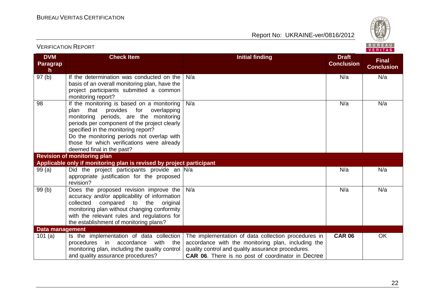

| <b>VERIFICATION REPORT</b>   |                                                                                                                                                                                                                                                                                                                                                     |                                                                                                                                                                                                                            |                                   | BUREAU<br><b>VERITAS</b>          |
|------------------------------|-----------------------------------------------------------------------------------------------------------------------------------------------------------------------------------------------------------------------------------------------------------------------------------------------------------------------------------------------------|----------------------------------------------------------------------------------------------------------------------------------------------------------------------------------------------------------------------------|-----------------------------------|-----------------------------------|
| <b>DVM</b><br>Paragrap<br>h. | <b>Check Item</b>                                                                                                                                                                                                                                                                                                                                   | <b>Initial finding</b>                                                                                                                                                                                                     | <b>Draft</b><br><b>Conclusion</b> | <b>Final</b><br><b>Conclusion</b> |
| 97(b)                        | If the determination was conducted on the<br>basis of an overall monitoring plan, have the<br>project participants submitted a common<br>monitoring report?                                                                                                                                                                                         | N/a                                                                                                                                                                                                                        | N/a                               | N/a                               |
| 98                           | If the monitoring is based on a monitoring<br>that<br>provides for<br>overlapping<br>plan<br>monitoring periods, are the monitoring<br>periods per component of the project clearly<br>specified in the monitoring report?<br>Do the monitoring periods not overlap with<br>those for which verifications were already<br>deemed final in the past? | N/a                                                                                                                                                                                                                        | N/a                               | N/a                               |
|                              | <b>Revision of monitoring plan</b>                                                                                                                                                                                                                                                                                                                  |                                                                                                                                                                                                                            |                                   |                                   |
|                              | Applicable only if monitoring plan is revised by project participant                                                                                                                                                                                                                                                                                |                                                                                                                                                                                                                            |                                   |                                   |
| 99(a)                        | Did the project participants provide an $N/a$<br>appropriate justification for the proposed<br>revision?                                                                                                                                                                                                                                            |                                                                                                                                                                                                                            | N/a                               | N/a                               |
| 99(b)                        | Does the proposed revision improve the<br>accuracy and/or applicability of information<br>compared to the<br>collected<br>original<br>monitoring plan without changing conformity<br>with the relevant rules and regulations for<br>the establishment of monitoring plans?                                                                          | N/a                                                                                                                                                                                                                        | N/a                               | N/a                               |
| <b>Data management</b>       |                                                                                                                                                                                                                                                                                                                                                     |                                                                                                                                                                                                                            |                                   |                                   |
| 101(a)                       | Is the implementation of data collection<br>procedures in accordance<br>with the<br>monitoring plan, including the quality control<br>and quality assurance procedures?                                                                                                                                                                             | The implementation of data collection procedures in<br>accordance with the monitoring plan, including the<br>quality control and quality assurance procedures.<br><b>CAR 06.</b> There is no post of coordinator in Decree | <b>CAR 06</b>                     | OK                                |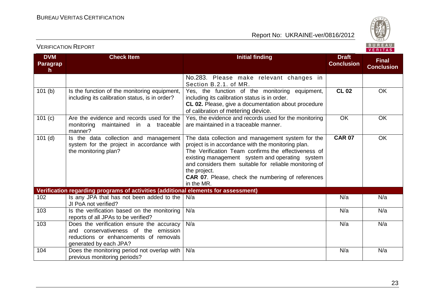

#### **DVM Paragrap h Check Item Initial finding Initial finding Draft Conclusion Final Conclusion** No.283. Please make relevant changes in Section B.2.1. of MR. 101 (b)  $\vert$  Is the function of the monitoring equipment, including its calibration status, is in order? Yes, the function of the monitoring equipment, including its calibration status is in order. **CL 02.** Please, give a documentation about procedure of calibration of metering device. **CL 02** OK 101 (c)  $\Box$  Are the evidence and records used for the monitoring maintained in a traceable manner? Yes, the evidence and records used for the monitoring are maintained in a traceable manner. OK OK 101 (d) Is the data collection and management system for the project in accordance with the monitoring plan? The data collection and management system for the project is in accordance with the monitoring plan. The Verification Team confirms the effectiveness of existing management system and operating system and considers them suitable for reliable monitoring of the project. **CAR 07**. Please, check the numbering of references in the MR. **CAR 07** OK **Verification regarding programs of activities (additional elements for assessment)** 102 Is any JPA that has not been added to the N/a JI PoA not verified? N/a N/a N/a 103 **Is the verification based on the monitoring** reports of all JPAs to be verified? N/a N/a N/a 103 Does the verification ensure the accuracy and conservativeness of the emission reductions or enhancements of removals generated by each JPA? N/a N/a N/a 104 Does the monitoring period not overlap with N/a previous monitoring periods? N/a N/a N/a

#### VERIFICATION REPORT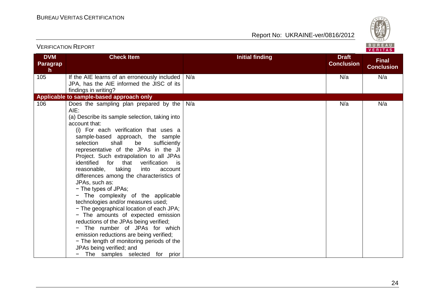

|                              | <b>VERIFICATION REPORT</b>                                                                                                                                                                                                                                                                                                                                                                                                                                                                                                                                                                                                                                                                                                                                                                                                                                                                                                            |                        |                                   | BUREAU<br>VERITAS                 |
|------------------------------|---------------------------------------------------------------------------------------------------------------------------------------------------------------------------------------------------------------------------------------------------------------------------------------------------------------------------------------------------------------------------------------------------------------------------------------------------------------------------------------------------------------------------------------------------------------------------------------------------------------------------------------------------------------------------------------------------------------------------------------------------------------------------------------------------------------------------------------------------------------------------------------------------------------------------------------|------------------------|-----------------------------------|-----------------------------------|
| <b>DVM</b><br>Paragrap<br>h. | <b>Check Item</b>                                                                                                                                                                                                                                                                                                                                                                                                                                                                                                                                                                                                                                                                                                                                                                                                                                                                                                                     | <b>Initial finding</b> | <b>Draft</b><br><b>Conclusion</b> | <b>Final</b><br><b>Conclusion</b> |
| 105                          | If the AIE learns of an erroneously included<br>JPA, has the AIE informed the JISC of its<br>findings in writing?                                                                                                                                                                                                                                                                                                                                                                                                                                                                                                                                                                                                                                                                                                                                                                                                                     | N/a                    | N/a                               | N/a                               |
|                              | Applicable to sample-based approach only                                                                                                                                                                                                                                                                                                                                                                                                                                                                                                                                                                                                                                                                                                                                                                                                                                                                                              |                        |                                   |                                   |
| 106                          | Does the sampling plan prepared by the<br>AIE:<br>(a) Describe its sample selection, taking into<br>account that:<br>(i) For each verification that uses a<br>sample-based approach, the sample<br>selection<br>shall<br>be<br>sufficiently<br>representative of the JPAs in the JI<br>Project. Such extrapolation to all JPAs<br>identified for that<br>verification<br>is is<br>reasonable,<br>taking<br>into<br>account<br>differences among the characteristics of<br>JPAs, such as:<br>- The types of JPAs;<br>- The complexity of the applicable<br>technologies and/or measures used;<br>- The geographical location of each JPA;<br>- The amounts of expected emission<br>reductions of the JPAs being verified;<br>- The number of JPAs for which<br>emission reductions are being verified;<br>- The length of monitoring periods of the<br>JPAs being verified; and<br>The samples selected for prior<br>$\qquad \qquad =$ | N/a                    | N/a                               | N/a                               |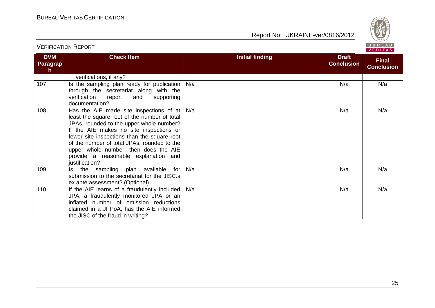

| <b>DVM</b><br>Paragrap<br>$\mathsf{h}$ | <b>Check Item</b>                                                                                                                                                                                                                                                                                                                                                               | <b>Initial finding</b> | <b>Draft</b><br><b>Conclusion</b> | <b>Final</b><br><b>Conclusion</b> |
|----------------------------------------|---------------------------------------------------------------------------------------------------------------------------------------------------------------------------------------------------------------------------------------------------------------------------------------------------------------------------------------------------------------------------------|------------------------|-----------------------------------|-----------------------------------|
|                                        | verifications, if any?                                                                                                                                                                                                                                                                                                                                                          |                        |                                   |                                   |
| 107                                    | Is the sampling plan ready for publication<br>through the secretariat along with the<br>verification<br>report<br>supporting<br>and<br>documentation?                                                                                                                                                                                                                           | N/a                    | N/a                               | N/a                               |
| 108                                    | Has the AIE made site inspections of at<br>least the square root of the number of total<br>JPAs, rounded to the upper whole number?<br>If the AIE makes no site inspections or<br>fewer site inspections than the square root<br>of the number of total JPAs, rounded to the<br>upper whole number, then does the AIE<br>provide a reasonable explanation and<br>justification? | N/a                    | N/a                               | N/a                               |
| 109                                    | the sampling plan available<br>for<br>ls.<br>submission to the secretariat for the JISC.s<br>ex ante assessment? (Optional)                                                                                                                                                                                                                                                     | N/a                    | N/a                               | N/a                               |
| 110                                    | If the AIE learns of a fraudulently included<br>JPA, a fraudulently monitored JPA or an<br>inflated number of emission reductions<br>claimed in a JI PoA, has the AIE informed<br>the JISC of the fraud in writing?                                                                                                                                                             | N/a                    | N/a                               | N/a                               |

VERIFICATION REPORT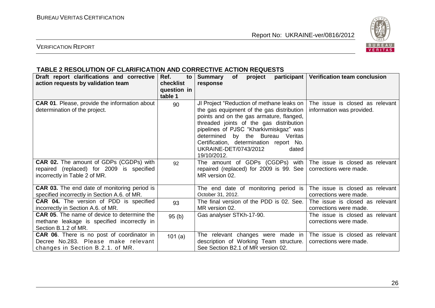

#### VERIFICATION REPORT

#### **TABLE 2 RESOLUTION OF CLARIFICATION AND CORRECTIVE ACTION REQUESTS**

| Draft report clarifications and corrective<br>action requests by validation team                                             | Ref.<br>to<br>checklist<br>question in<br>table 1 | <b>Summary</b><br>of<br>project<br>response                                                                                                                                                                                                                                                                                                             | participant   Verification team conclusion                   |
|------------------------------------------------------------------------------------------------------------------------------|---------------------------------------------------|---------------------------------------------------------------------------------------------------------------------------------------------------------------------------------------------------------------------------------------------------------------------------------------------------------------------------------------------------------|--------------------------------------------------------------|
| <b>CAR 01.</b> Please, provide the information about<br>determination of the project.                                        | 90                                                | JI Project "Reduction of methane leaks on<br>the gas equipment of the gas distribution<br>points and on the gas armature, flanged,<br>threaded joints of the gas distribution<br>pipelines of PJSC "Kharkivmiskgaz" was<br>determined by the Bureau Veritas<br>Certification, determination report No.<br>UKRAINE-DET/0743/2012<br>dated<br>19/10/2012. | The issue is closed as relevant<br>information was provided. |
| <b>CAR 02.</b> The amount of GDPs (CGDPs) with<br>repaired (replaced) for 2009 is specified<br>incorrectly in Table 2 of MR. | 92                                                | The amount of GDPs (CGDPs) with<br>repaired (replaced) for 2009 is 99. See  <br>MR version 02.                                                                                                                                                                                                                                                          | The issue is closed as relevant<br>corrections were made.    |
| <b>CAR 03.</b> The end date of monitoring period is<br>specified incorrectly in Section A.6. of MR.                          |                                                   | The end date of monitoring period is<br>October 31, 2012.                                                                                                                                                                                                                                                                                               | The issue is closed as relevant<br>corrections were made.    |
| CAR 04. The version of PDD is specified<br>incorrectly in Section A.6. of MR.                                                | 93                                                | The final version of the PDD is 02. See.<br>MR version 02.                                                                                                                                                                                                                                                                                              | The issue is closed as relevant<br>corrections were made.    |
| <b>CAR 05.</b> The name of device to determine the<br>methane leakage is specified incorrectly in<br>Section B.1.2 of MR.    | 95(b)                                             | Gas analyser STKh-17-90.                                                                                                                                                                                                                                                                                                                                | The issue is closed as relevant<br>corrections were made.    |
| <b>CAR 06.</b> There is no post of coordinator in<br>Decree No.283. Please make relevant<br>changes in Section B.2.1. of MR. | 101(a)                                            | The relevant changes were made in<br>description of Working Team structure.<br>See Section B2.1 of MR version 02.                                                                                                                                                                                                                                       | The issue is closed as relevant<br>corrections were made.    |